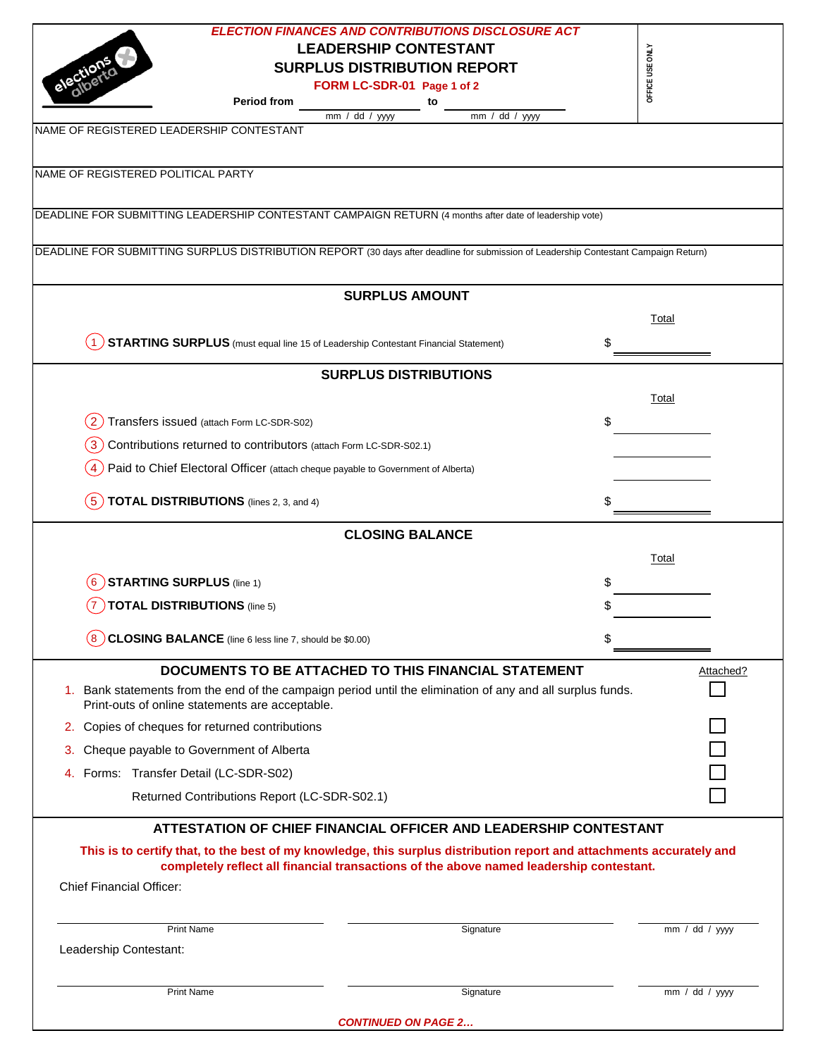|                                                                                                                                                               | <b>ELECTION FINANCES AND CONTRIBUTIONS DISCLOSURE ACT</b>        |                 |  |  |  |  |
|---------------------------------------------------------------------------------------------------------------------------------------------------------------|------------------------------------------------------------------|-----------------|--|--|--|--|
|                                                                                                                                                               | <b>LEADERSHIP CONTESTANT</b>                                     |                 |  |  |  |  |
|                                                                                                                                                               | <b>SURPLUS DISTRIBUTION REPORT</b>                               | OFFICE USE ONLY |  |  |  |  |
|                                                                                                                                                               | FORM LC-SDR-01 Page 1 of 2                                       |                 |  |  |  |  |
| <b>Period from</b>                                                                                                                                            | to                                                               |                 |  |  |  |  |
| mm / dd / yyyy<br>NAME OF REGISTERED LEADERSHIP CONTESTANT                                                                                                    | mm / dd / yyy                                                    |                 |  |  |  |  |
|                                                                                                                                                               |                                                                  |                 |  |  |  |  |
| NAME OF REGISTERED POLITICAL PARTY                                                                                                                            |                                                                  |                 |  |  |  |  |
| DEADLINE FOR SUBMITTING LEADERSHIP CONTESTANT CAMPAIGN RETURN (4 months after date of leadership vote)                                                        |                                                                  |                 |  |  |  |  |
|                                                                                                                                                               |                                                                  |                 |  |  |  |  |
| DEADLINE FOR SUBMITTING SURPLUS DISTRIBUTION REPORT (30 days after deadline for submission of Leadership Contestant Campaign Return)                          |                                                                  |                 |  |  |  |  |
|                                                                                                                                                               | <b>SURPLUS AMOUNT</b>                                            |                 |  |  |  |  |
|                                                                                                                                                               |                                                                  | Total           |  |  |  |  |
| <b>STARTING SURPLUS</b> (must equal line 15 of Leadership Contestant Financial Statement)                                                                     | \$                                                               |                 |  |  |  |  |
|                                                                                                                                                               | <b>SURPLUS DISTRIBUTIONS</b>                                     |                 |  |  |  |  |
|                                                                                                                                                               |                                                                  | Total           |  |  |  |  |
| Transfers issued (attach Form LC-SDR-S02)<br>$\mathbf{2}$                                                                                                     | \$                                                               |                 |  |  |  |  |
| Contributions returned to contributors (attach Form LC-SDR-S02.1)<br>$\mathbf{3}$                                                                             |                                                                  |                 |  |  |  |  |
|                                                                                                                                                               |                                                                  |                 |  |  |  |  |
| Paid to Chief Electoral Officer (attach cheque payable to Government of Alberta)                                                                              |                                                                  |                 |  |  |  |  |
| <b>TOTAL DISTRIBUTIONS</b> (lines 2, 3, and 4)<br>$5^{\circ}$                                                                                                 |                                                                  |                 |  |  |  |  |
|                                                                                                                                                               | <b>CLOSING BALANCE</b>                                           |                 |  |  |  |  |
|                                                                                                                                                               |                                                                  | Total           |  |  |  |  |
| <b>STARTING SURPLUS (line 1)</b>                                                                                                                              |                                                                  |                 |  |  |  |  |
|                                                                                                                                                               |                                                                  |                 |  |  |  |  |
| TOTAL DISTRIBUTIONS (line 5)<br>$\mathbf{7}$                                                                                                                  |                                                                  |                 |  |  |  |  |
| CLOSING BALANCE (line 6 less line 7, should be \$0.00)                                                                                                        |                                                                  |                 |  |  |  |  |
|                                                                                                                                                               |                                                                  |                 |  |  |  |  |
| <b>DOCUMENTS TO BE ATTACHED TO THIS FINANCIAL STATEMENT</b>                                                                                                   |                                                                  | Attached?       |  |  |  |  |
| 1. Bank statements from the end of the campaign period until the elimination of any and all surplus funds.<br>Print-outs of online statements are acceptable. |                                                                  |                 |  |  |  |  |
| 2. Copies of cheques for returned contributions                                                                                                               |                                                                  |                 |  |  |  |  |
| Cheque payable to Government of Alberta<br>3.                                                                                                                 |                                                                  |                 |  |  |  |  |
| Forms: Transfer Detail (LC-SDR-S02)<br>4.                                                                                                                     |                                                                  |                 |  |  |  |  |
| Returned Contributions Report (LC-SDR-S02.1)                                                                                                                  |                                                                  |                 |  |  |  |  |
|                                                                                                                                                               | ATTESTATION OF CHIEF FINANCIAL OFFICER AND LEADERSHIP CONTESTANT |                 |  |  |  |  |
| This is to certify that, to the best of my knowledge, this surplus distribution report and attachments accurately and                                         |                                                                  |                 |  |  |  |  |
| completely reflect all financial transactions of the above named leadership contestant.                                                                       |                                                                  |                 |  |  |  |  |
| <b>Chief Financial Officer:</b>                                                                                                                               |                                                                  |                 |  |  |  |  |
| <b>Print Name</b>                                                                                                                                             | Signature                                                        | mm / dd / yyy   |  |  |  |  |
| Leadership Contestant:                                                                                                                                        |                                                                  |                 |  |  |  |  |
| <b>Print Name</b>                                                                                                                                             | Signature                                                        | mm / dd / yyy   |  |  |  |  |
|                                                                                                                                                               |                                                                  |                 |  |  |  |  |
| <b>CONTINUED ON PAGE 2</b>                                                                                                                                    |                                                                  |                 |  |  |  |  |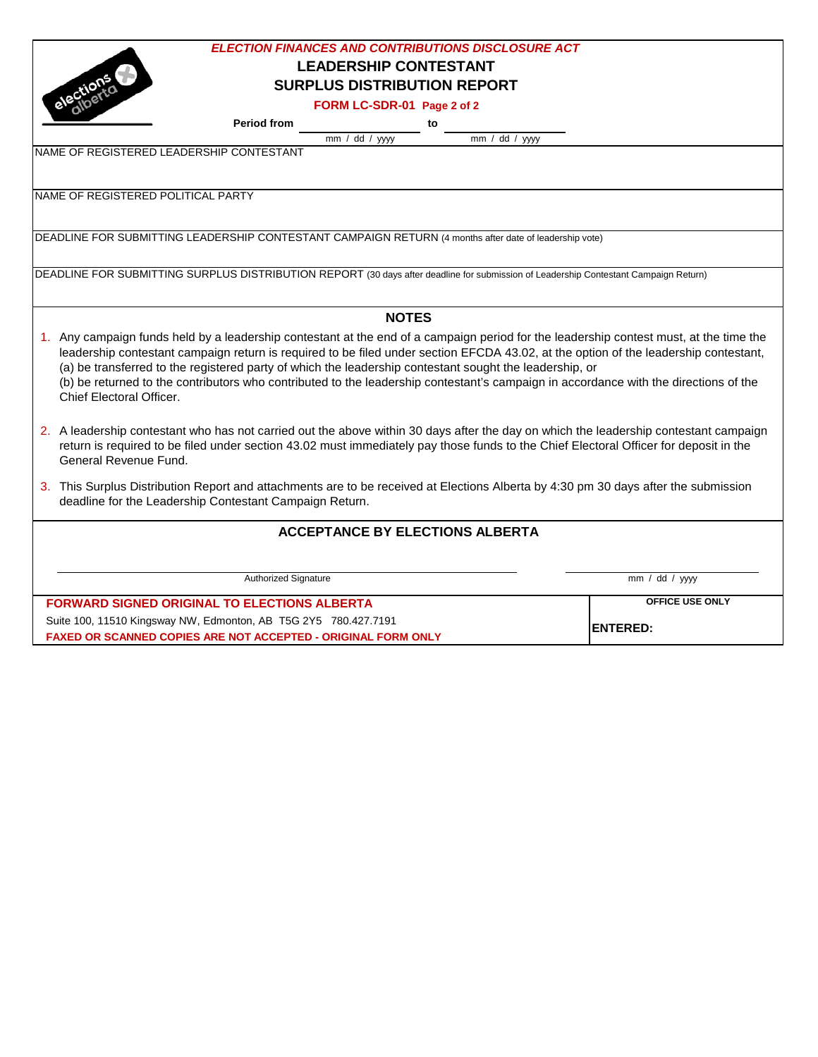| <b>ELECTION FINANCES AND CONTRIBUTIONS DISCLOSURE ACT</b>                                                                                                        |                 |  |  |  |  |  |
|------------------------------------------------------------------------------------------------------------------------------------------------------------------|-----------------|--|--|--|--|--|
| <b>LEADERSHIP CONTESTANT</b>                                                                                                                                     |                 |  |  |  |  |  |
| <b>SURPLUS DISTRIBUTION REPORT</b>                                                                                                                               |                 |  |  |  |  |  |
| FORM LC-SDR-01 Page 2 of 2                                                                                                                                       |                 |  |  |  |  |  |
| <b>Period from</b><br>to                                                                                                                                         |                 |  |  |  |  |  |
| $\overline{mm}$ / dd / yyyy<br>$\overline{mm}$ / dd / yyyy                                                                                                       |                 |  |  |  |  |  |
| NAME OF REGISTERED LEADERSHIP CONTESTANT                                                                                                                         |                 |  |  |  |  |  |
|                                                                                                                                                                  |                 |  |  |  |  |  |
| NAME OF REGISTERED POLITICAL PARTY                                                                                                                               |                 |  |  |  |  |  |
|                                                                                                                                                                  |                 |  |  |  |  |  |
|                                                                                                                                                                  |                 |  |  |  |  |  |
| DEADLINE FOR SUBMITTING LEADERSHIP CONTESTANT CAMPAIGN RETURN (4 months after date of leadership vote)                                                           |                 |  |  |  |  |  |
|                                                                                                                                                                  |                 |  |  |  |  |  |
| DEADLINE FOR SUBMITTING SURPLUS DISTRIBUTION REPORT (30 days after deadline for submission of Leadership Contestant Campaign Return)                             |                 |  |  |  |  |  |
|                                                                                                                                                                  |                 |  |  |  |  |  |
| <b>NOTES</b>                                                                                                                                                     |                 |  |  |  |  |  |
| 1. Any campaign funds held by a leadership contestant at the end of a campaign period for the leadership contest must, at the time the                           |                 |  |  |  |  |  |
| leadership contestant campaign return is required to be filed under section EFCDA 43.02, at the option of the leadership contestant,                             |                 |  |  |  |  |  |
| (a) be transferred to the registered party of which the leadership contestant sought the leadership, or                                                          |                 |  |  |  |  |  |
| (b) be returned to the contributors who contributed to the leadership contestant's campaign in accordance with the directions of the<br>Chief Electoral Officer. |                 |  |  |  |  |  |
|                                                                                                                                                                  |                 |  |  |  |  |  |
| 2. A leadership contestant who has not carried out the above within 30 days after the day on which the leadership contestant campaign                            |                 |  |  |  |  |  |
| return is required to be filed under section 43.02 must immediately pay those funds to the Chief Electoral Officer for deposit in the                            |                 |  |  |  |  |  |
| General Revenue Fund.                                                                                                                                            |                 |  |  |  |  |  |
| 3. This Surplus Distribution Report and attachments are to be received at Elections Alberta by 4:30 pm 30 days after the submission                              |                 |  |  |  |  |  |
| deadline for the Leadership Contestant Campaign Return.                                                                                                          |                 |  |  |  |  |  |
|                                                                                                                                                                  |                 |  |  |  |  |  |
| <b>ACCEPTANCE BY ELECTIONS ALBERTA</b>                                                                                                                           |                 |  |  |  |  |  |
|                                                                                                                                                                  |                 |  |  |  |  |  |
| Authorized Signature                                                                                                                                             | mm / dd / yyy   |  |  |  |  |  |
|                                                                                                                                                                  |                 |  |  |  |  |  |
| <b>FORWARD SIGNED ORIGINAL TO ELECTIONS ALBERTA</b>                                                                                                              | OFFICE USE ONLY |  |  |  |  |  |
| Suite 100, 11510 Kingsway NW, Edmonton, AB T5G 2Y5 780.427.7191<br><b>ENTERED:</b>                                                                               |                 |  |  |  |  |  |
| FAXED OR SCANNED COPIES ARE NOT ACCEPTED - ORIGINAL FORM ONLY                                                                                                    |                 |  |  |  |  |  |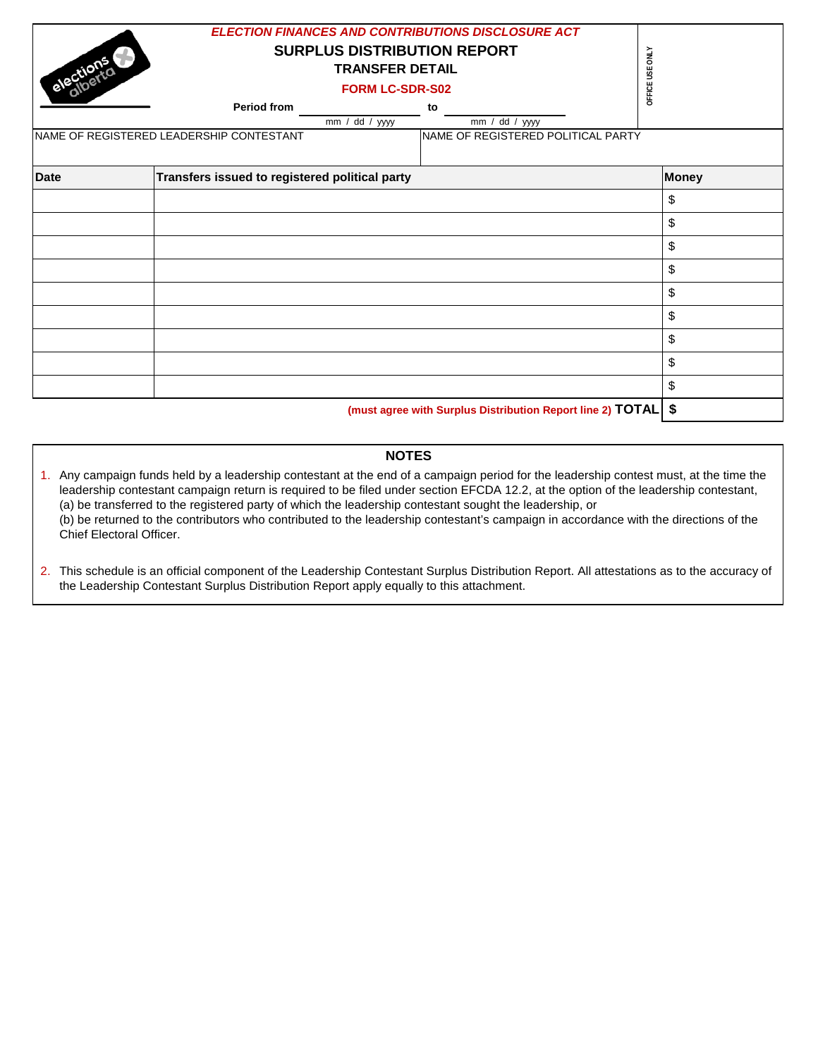| elections<br>NAME OF REGISTERED LEADERSHIP CONTESTANT | OFFICE USE ONLY                                |                                                            |              |
|-------------------------------------------------------|------------------------------------------------|------------------------------------------------------------|--------------|
| <b>Date</b>                                           | Transfers issued to registered political party |                                                            | <b>Money</b> |
|                                                       |                                                |                                                            | \$           |
|                                                       |                                                |                                                            | \$           |
|                                                       |                                                |                                                            | \$           |
|                                                       |                                                |                                                            | \$           |
|                                                       |                                                |                                                            | \$           |
|                                                       |                                                |                                                            | \$           |
|                                                       |                                                |                                                            | \$           |
|                                                       |                                                |                                                            | \$           |
|                                                       |                                                |                                                            | \$           |
|                                                       |                                                | (must agree with Surplus Distribution Report line 2) TOTAL | \$           |

**NOTES**

1. Any campaign funds held by a leadership contestant at the end of a campaign period for the leadership contest must, at the time the leadership contestant campaign return is required to be filed under section EFCDA 12.2, at the option of the leadership contestant, (a) be transferred to the registered party of which the leadership contestant sought the leadership, or (b) be returned to the contributors who contributed to the leadership contestant's campaign in accordance with the directions of the Chief Electoral Officer.

<sup>2.</sup> This schedule is an official component of the Leadership Contestant Surplus Distribution Report. All attestations as to the accuracy of the Leadership Contestant Surplus Distribution Report apply equally to this attachment.